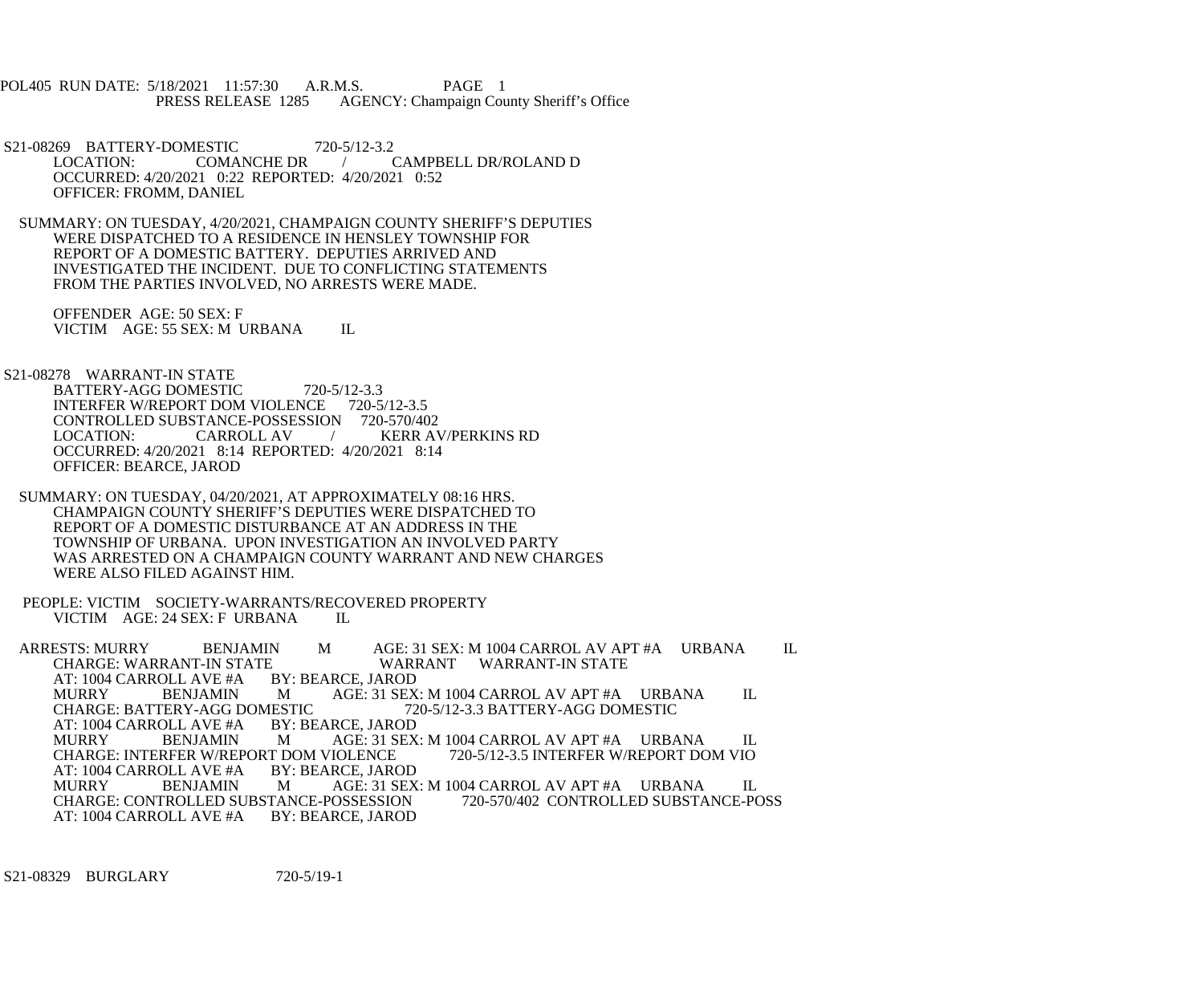POL405 RUN DATE: 5/18/2021 11:57:30 A.R.M.S. PAGE 1<br>PRESS RELEASE 1285 AGENCY: Champaign Cou AGENCY: Champaign County Sheriff's Office

S21-08269 BATTERY-DOMESTIC 720-5/12-3.2<br>LOCATION: COMANCHE DR / CAMPBELL DR/ROLAND D OCCURRED: 4/20/2021 0:22 REPORTED: 4/20/2021 0:52 OFFICER: FROMM, DANIEL

 SUMMARY: ON TUESDAY, 4/20/2021, CHAMPAIGN COUNTY SHERIFF'S DEPUTIES WERE DISPATCHED TO A RESIDENCE IN HENSLEY TOWNSHIP FOR REPORT OF A DOMESTIC BATTERY. DEPUTIES ARRIVED AND INVESTIGATED THE INCIDENT. DUE TO CONFLICTING STATEMENTS FROM THE PARTIES INVOLVED, NO ARRESTS WERE MADE.

 OFFENDER AGE: 50 SEX: F VICTIM AGE: 55 SEX: M URBANA IL

S21-08278 WARRANT-IN STATE

BATTERY-AGG DOMESTIC 720-5/12-3.3 INTERFER W/REPORT DOM VIOLENCE 720-5/12-3.5 CONTROLLED SUBSTANCE-POSSESSION 720-570/402<br>LOCATION: CARROLL AV / KERR AV LOCATION: CARROLL AV / KERR AV/PERKINS RD OCCURRED: 4/20/2021 8:14 REPORTED: 4/20/2021 8:14 OFFICER: BEARCE, JAROD

 SUMMARY: ON TUESDAY, 04/20/2021, AT APPROXIMATELY 08:16 HRS. CHAMPAIGN COUNTY SHERIFF'S DEPUTIES WERE DISPATCHED TO REPORT OF A DOMESTIC DISTURBANCE AT AN ADDRESS IN THE TOWNSHIP OF URBANA. UPON INVESTIGATION AN INVOLVED PARTY WAS ARRESTED ON A CHAMPAIGN COUNTY WARRANT AND NEW CHARGES WERE ALSO FILED AGAINST HIM.

 PEOPLE: VICTIM SOCIETY-WARRANTS/RECOVERED PROPERTY VICTIM AGE: 24 SEX: F URBANA IL

ARRESTS: MURRY BENJAMIN M AGE: 31 SEX: M 1004 CARROL AV APT #A URBANA IL CHARGE: WARRANT-IN STATE WARRANT WARRANT-IN STATE E WARRANT WARRANT-IN STATE<br>BY: BEARCE, JAROD AT: 1004 CARROLL AVE #A BY:<br>MURRY BENJAMIN M MURRY BENJAMIN M AGE: 31 SEX: M 1004 CARROL AV APT #A URBANA IL<br>CHARGE: BATTERY-AGG DOMESTIC 720-5/12-3.3 BATTERY-AGG DOMESTIC CHARGE: BATTERY-AGG DOMESTIC 72<br>AT: 1004 CARROLL AVE #A BY: BEARCE, JAROD AT: 1004 CARROLL AVE #A<br>MURRY BENJAMIN MURRY BENJAMIN M AGE: 31 SEX: M 1004 CARROL AV APT #A URBANA IL CHARGE: INTERFER W/REPORT DOM VIO CHARGE: INTERFER W/REPORT DOM VIOLENCE<br>AT: 1004 CARROLL AVE #A BY: BEARCE, JAROD AT: 1004 CARROLL AVE #A MURRY BENJAMIN M AGE: 31 SEX: M 1004 CARROL AV APT #A URBANA IL CHARGE: CONTROLLED SUBSTANCE-POSSESSION 720-570/402 CONTROLLED SUBSTANCE-POSS CHARGE: CONTROLLED SUBSTANCE-POSSESSION<br>AT: 1004 CARROLL AVE #A BY: BEARCE, JAROD AT: 1004 CARROLL AVE #A

S21-08329 BURGLARY 720-5/19-1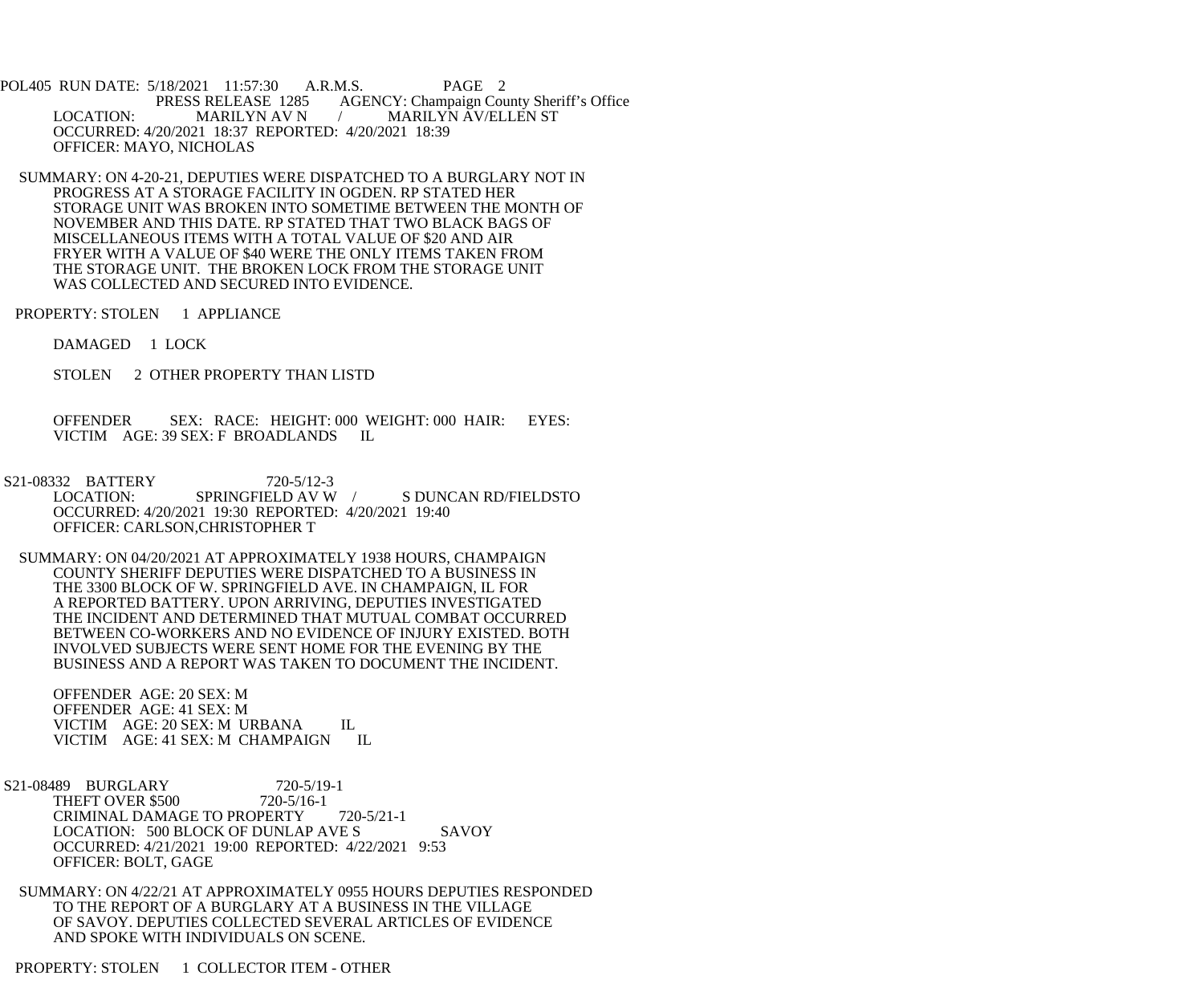POL405 RUN DATE: 5/18/2021 11:57:30 A.R.M.S. PAGE 2 PRESS RELEASE 1285 AGENCY: Champaign County Sheriff's Office LOCATION: MARILYN AV N / MARILYN AV/ELLEN ST OCCURRED: 4/20/2021 18:37 REPORTED: 4/20/2021 18:39 OFFICER: MAYO, NICHOLAS

 SUMMARY: ON 4-20-21, DEPUTIES WERE DISPATCHED TO A BURGLARY NOT IN PROGRESS AT A STORAGE FACILITY IN OGDEN. RP STATED HER STORAGE UNIT WAS BROKEN INTO SOMETIME BETWEEN THE MONTH OF NOVEMBER AND THIS DATE. RP STATED THAT TWO BLACK BAGS OF MISCELLANEOUS ITEMS WITH A TOTAL VALUE OF \$20 AND AIR FRYER WITH A VALUE OF \$40 WERE THE ONLY ITEMS TAKEN FROM THE STORAGE UNIT. THE BROKEN LOCK FROM THE STORAGE UNIT WAS COLLECTED AND SECURED INTO EVIDENCE.

PROPERTY: STOLEN 1 APPLIANCE

DAMAGED 1 LOCK

STOLEN 2 OTHER PROPERTY THAN LISTD

 OFFENDER SEX: RACE: HEIGHT: 000 WEIGHT: 000 HAIR: EYES: VICTIM AGE: 39 SEX: F BROADLANDS IL

S21-08332 BATTERY 720-5/12-3<br>LOCATION: SPRINGFIELD AV W S DUNCAN RD/FIELDSTO OCCURRED: 4/20/2021 19:30 REPORTED: 4/20/2021 19:40 OFFICER: CARLSON,CHRISTOPHER T

 SUMMARY: ON 04/20/2021 AT APPROXIMATELY 1938 HOURS, CHAMPAIGN COUNTY SHERIFF DEPUTIES WERE DISPATCHED TO A BUSINESS IN THE 3300 BLOCK OF W. SPRINGFIELD AVE. IN CHAMPAIGN, IL FOR A REPORTED BATTERY. UPON ARRIVING, DEPUTIES INVESTIGATED THE INCIDENT AND DETERMINED THAT MUTUAL COMBAT OCCURRED BETWEEN CO-WORKERS AND NO EVIDENCE OF INJURY EXISTED. BOTH INVOLVED SUBJECTS WERE SENT HOME FOR THE EVENING BY THE BUSINESS AND A REPORT WAS TAKEN TO DOCUMENT THE INCIDENT.

 OFFENDER AGE: 20 SEX: M OFFENDER AGE: 41 SEX: M VICTIM AGE: 20 SEX: M URBANA IL VICTIM AGE: 41 SEX: M CHAMPAIGN IL

S21-08489 BURGLARY 720-5/19-1<br>THEFT OVER \$500 720-5/16-1 THEFT OVER \$500 CRIMINAL DAMAGE TO PROPERTY 720-5/21-1 LOCATION: 500 BLOCK OF DUNLAP AVE S SAVOY OCCURRED: 4/21/2021 19:00 REPORTED: 4/22/2021 9:53 OFFICER: BOLT, GAGE

 SUMMARY: ON 4/22/21 AT APPROXIMATELY 0955 HOURS DEPUTIES RESPONDED TO THE REPORT OF A BURGLARY AT A BUSINESS IN THE VILLAGE OF SAVOY. DEPUTIES COLLECTED SEVERAL ARTICLES OF EVIDENCE AND SPOKE WITH INDIVIDUALS ON SCENE.

PROPERTY: STOLEN 1 COLLECTOR ITEM - OTHER